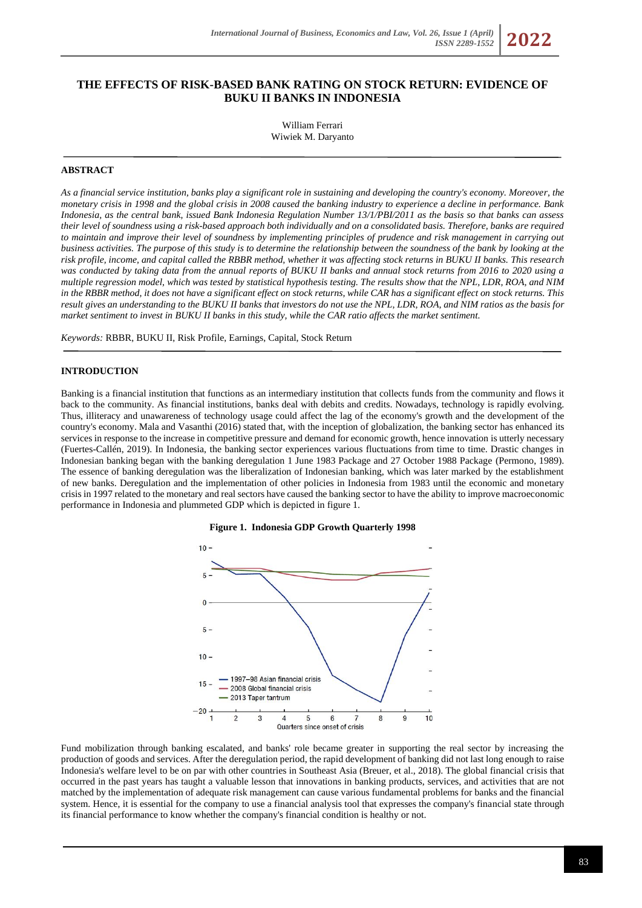# **THE EFFECTS OF RISK-BASED BANK RATING ON STOCK RETURN: EVIDENCE OF BUKU II BANKS IN INDONESIA**

William Ferrari Wiwiek M. Daryanto

### **ABSTRACT**

*As a financial service institution, banks play a significant role in sustaining and developing the country's economy. Moreover, the monetary crisis in 1998 and the global crisis in 2008 caused the banking industry to experience a decline in performance. Bank Indonesia, as the central bank, issued Bank Indonesia Regulation Number 13/1/PBI/2011 as the basis so that banks can assess their level of soundness using a risk-based approach both individually and on a consolidated basis. Therefore, banks are required to maintain and improve their level of soundness by implementing principles of prudence and risk management in carrying out business activities. The purpose of this study is to determine the relationship between the soundness of the bank by looking at the risk profile, income, and capital called the RBBR method, whether it was affecting stock returns in BUKU II banks. This research was conducted by taking data from the annual reports of BUKU II banks and annual stock returns from 2016 to 2020 using a multiple regression model, which was tested by statistical hypothesis testing. The results show that the NPL, LDR, ROA, and NIM in the RBBR method, it does not have a significant effect on stock returns, while CAR has a significant effect on stock returns. This result gives an understanding to the BUKU II banks that investors do not use the NPL, LDR, ROA, and NIM ratios as the basis for market sentiment to invest in BUKU II banks in this study, while the CAR ratio affects the market sentiment.*

*Keywords:* RBBR, BUKU II, Risk Profile, Earnings, Capital, Stock Return

#### **INTRODUCTION**

Banking is a financial institution that functions as an intermediary institution that collects funds from the community and flows it back to the community. As financial institutions, banks deal with debits and credits. Nowadays, technology is rapidly evolving. Thus, illiteracy and unawareness of technology usage could affect the lag of the economy's growth and the development of the country's economy. Mala and Vasanthi (2016) stated that, with the inception of globalization, the banking sector has enhanced its services in response to the increase in competitive pressure and demand for economic growth, hence innovation is utterly necessary (Fuertes-Callén, 2019). In Indonesia, the banking sector experiences various fluctuations from time to time. Drastic changes in Indonesian banking began with the banking deregulation 1 June 1983 Package and 27 October 1988 Package (Permono, 1989). The essence of banking deregulation was the liberalization of Indonesian banking, which was later marked by the establishment of new banks. Deregulation and the implementation of other policies in Indonesia from 1983 until the economic and monetary crisis in 1997 related to the monetary and real sectors have caused the banking sector to have the ability to improve macroeconomic performance in Indonesia and plummeted GDP which is depicted in figure 1.



**Figure 1. Indonesia GDP Growth Quarterly 1998**

Fund mobilization through banking escalated, and banks' role became greater in supporting the real sector by increasing the production of goods and services. After the deregulation period, the rapid development of banking did not last long enough to raise Indonesia's welfare level to be on par with other countries in Southeast Asia (Breuer, et al., 2018). The global financial crisis that occurred in the past years has taught a valuable lesson that innovations in banking products, services, and activities that are not matched by the implementation of adequate risk management can cause various fundamental problems for banks and the financial system. Hence, it is essential for the company to use a financial analysis tool that expresses the company's financial state through its financial performance to know whether the company's financial condition is healthy or not.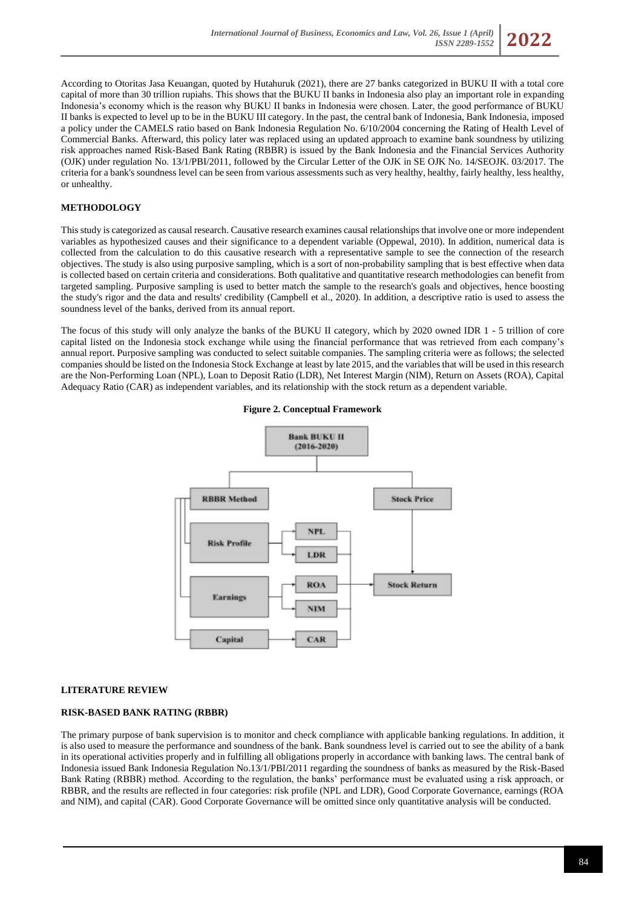

According to Otoritas Jasa Keuangan, quoted by Hutahuruk (2021), there are 27 banks categorized in BUKU II with a total core capital of more than 30 trillion rupiahs. This shows that the BUKU II banks in Indonesia also play an important role in expanding Indonesia's economy which is the reason why BUKU II banks in Indonesia were chosen. Later, the good performance of BUKU II banks is expected to level up to be in the BUKU III category. In the past, the central bank of Indonesia, Bank Indonesia, imposed a policy under the CAMELS ratio based on Bank Indonesia Regulation No. 6/10/2004 concerning the Rating of Health Level of Commercial Banks. Afterward, this policy later was replaced using an updated approach to examine bank soundness by utilizing risk approaches named Risk-Based Bank Rating (RBBR) is issued by the Bank Indonesia and the Financial Services Authority (OJK) under regulation No. 13/1/PBI/2011, followed by the Circular Letter of the OJK in SE OJK No. 14/SEOJK. 03/2017. The criteria for a bank's soundness level can be seen from various assessments such as very healthy, healthy, fairly healthy, less healthy, or unhealthy.

## **METHODOLOGY**

This study is categorized as causal research. Causative research examines causal relationships that involve one or more independent variables as hypothesized causes and their significance to a dependent variable (Oppewal, 2010). In addition, numerical data is collected from the calculation to do this causative research with a representative sample to see the connection of the research objectives. The study is also using purposive sampling, which is a sort of non-probability sampling that is best effective when data is collected based on certain criteria and considerations. Both qualitative and quantitative research methodologies can benefit from targeted sampling. Purposive sampling is used to better match the sample to the research's goals and objectives, hence boosting the study's rigor and the data and results' credibility (Campbell et al., 2020). In addition, a descriptive ratio is used to assess the soundness level of the banks, derived from its annual report.

The focus of this study will only analyze the banks of the BUKU II category, which by 2020 owned IDR 1 - 5 trillion of core capital listed on the Indonesia stock exchange while using the financial performance that was retrieved from each company's annual report. Purposive sampling was conducted to select suitable companies. The sampling criteria were as follows; the selected companies should be listed on the Indonesia Stock Exchange at least by late 2015, and the variables that will be used in this research are the Non-Performing Loan (NPL), Loan to Deposit Ratio (LDR), Net Interest Margin (NIM), Return on Assets (ROA), Capital Adequacy Ratio (CAR) as independent variables, and its relationship with the stock return as a dependent variable.





# **LITERATURE REVIEW**

# **RISK-BASED BANK RATING (RBBR)**

The primary purpose of bank supervision is to monitor and check compliance with applicable banking regulations. In addition, it is also used to measure the performance and soundness of the bank. Bank soundness level is carried out to see the ability of a bank in its operational activities properly and in fulfilling all obligations properly in accordance with banking laws. The central bank of Indonesia issued Bank Indonesia Regulation No.13/1/PBI/2011 regarding the soundness of banks as measured by the Risk-Based Bank Rating (RBBR) method. According to the regulation, the banks' performance must be evaluated using a risk approach, or RBBR, and the results are reflected in four categories: risk profile (NPL and LDR), Good Corporate Governance, earnings (ROA and NIM), and capital (CAR). Good Corporate Governance will be omitted since only quantitative analysis will be conducted.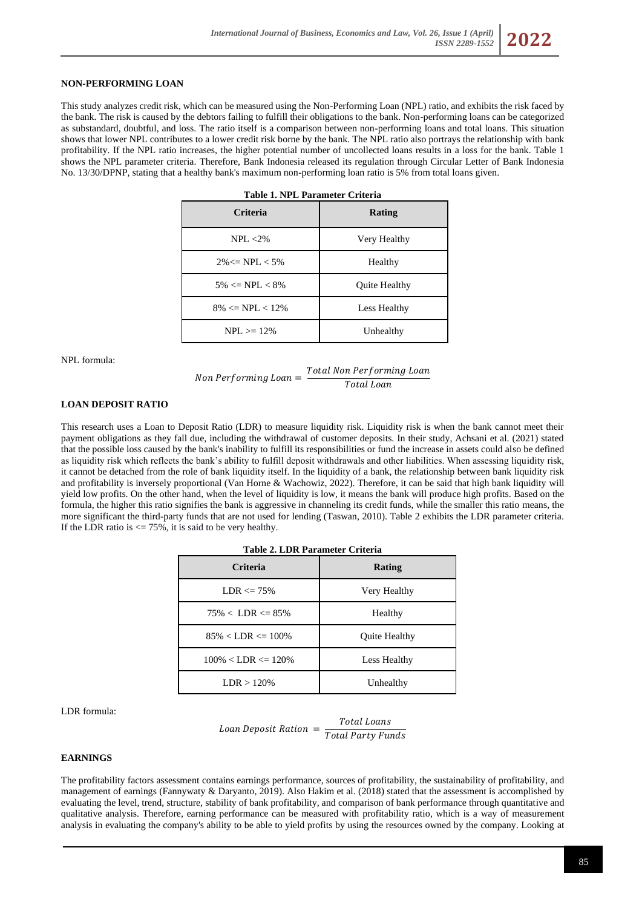## **NON-PERFORMING LOAN**

This study analyzes credit risk, which can be measured using the Non-Performing Loan (NPL) ratio, and exhibits the risk faced by the bank. The risk is caused by the debtors failing to fulfill their obligations to the bank. Non-performing loans can be categorized as substandard, doubtful, and loss. The ratio itself is a comparison between non-performing loans and total loans. This situation shows that lower NPL contributes to a lower credit risk borne by the bank. The NPL ratio also portrays the relationship with bank profitability. If the NPL ratio increases, the higher potential number of uncollected loans results in a loss for the bank. Table 1 shows the NPL parameter criteria. Therefore, Bank Indonesia released its regulation through Circular Letter of Bank Indonesia No. 13/30/DPNP, stating that a healthy bank's maximum non-performing loan ratio is 5% from total loans given.

| Table 1. NPL Parameter Criteria |                      |  |  |  |  |
|---------------------------------|----------------------|--|--|--|--|
| <b>Criteria</b>                 | Rating               |  |  |  |  |
| $NPI. < 2\%$                    | Very Healthy         |  |  |  |  |
| $2\% \leq NPL < 5\%$            | Healthy              |  |  |  |  |
| $5\% \leq NPL \leq 8\%$         | <b>Ouite Healthy</b> |  |  |  |  |
| $8\% \leq NPL < 12\%$           | Less Healthy         |  |  |  |  |
| $NPL \ge 12\%$                  | Unhealthy            |  |  |  |  |

NPL formula:

Non Performing Loan  $=\frac{Total\ Non\ Performing\ Loan}$ Total Loan

#### **LOAN DEPOSIT RATIO**

This research uses a Loan to Deposit Ratio (LDR) to measure liquidity risk. Liquidity risk is when the bank cannot meet their payment obligations as they fall due, including the withdrawal of customer deposits. In their study, Achsani et al. (2021) stated that the possible loss caused by the bank's inability to fulfill its responsibilities or fund the increase in assets could also be defined as liquidity risk which reflects the bank's ability to fulfill deposit withdrawals and other liabilities. When assessing liquidity risk, it cannot be detached from the role of bank liquidity itself. In the liquidity of a bank, the relationship between bank liquidity risk and profitability is inversely proportional (Van Horne & Wachowiz, 2022). Therefore, it can be said that high bank liquidity will yield low profits. On the other hand, when the level of liquidity is low, it means the bank will produce high profits. Based on the formula, the higher this ratio signifies the bank is aggressive in channeling its credit funds, while the smaller this ratio means, the more significant the third-party funds that are not used for lending (Taswan, 2010). Table 2 exhibits the LDR parameter criteria. If the LDR ratio is  $\leq$  75%, it is said to be very healthy.

| <b>Table 2. LDR Parameter Criteria</b> |                      |  |  |  |  |
|----------------------------------------|----------------------|--|--|--|--|
| Criteria                               | Rating               |  |  |  |  |
| $LDR \le 75\%$                         | Very Healthy         |  |  |  |  |
| $75\% < LDR \leq 85\%$                 | Healthy              |  |  |  |  |
| $85\% < LDR \leq 100\%$                | <b>Ouite Healthy</b> |  |  |  |  |
| $100\% < LDR \leq 120\%$               | Less Healthy         |  |  |  |  |
| LDR > 120%                             | Unhealthy            |  |  |  |  |

LDR formula:

$$
Loan \, \textit{Deposit \, Ration} \, = \, \frac{\textit{Total \, Loans}}{\textit{Total \, Party \, Funds}}
$$

## **EARNINGS**

The profitability factors assessment contains earnings performance, sources of profitability, the sustainability of profitability, and management of earnings (Fannywaty & Daryanto, 2019). Also Hakim et al. (2018) stated that the assessment is accomplished by evaluating the level, trend, structure, stability of bank profitability, and comparison of bank performance through quantitative and qualitative analysis. Therefore, earning performance can be measured with profitability ratio, which is a way of measurement analysis in evaluating the company's ability to be able to yield profits by using the resources owned by the company. Looking at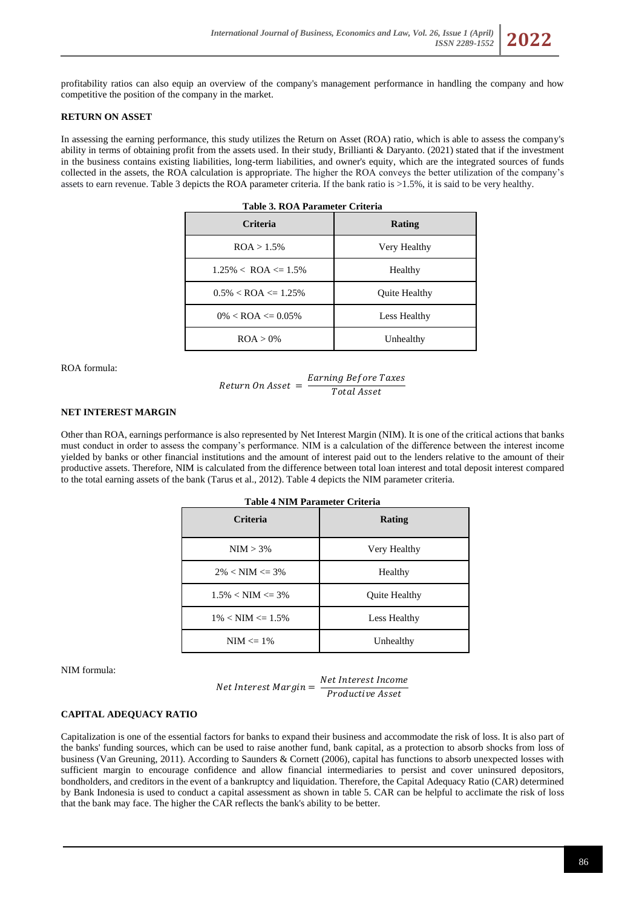

## **RETURN ON ASSET**

In assessing the earning performance, this study utilizes the Return on Asset (ROA) ratio, which is able to assess the company's ability in terms of obtaining profit from the assets used. In their study, Brillianti & Daryanto. (2021) stated that if the investment in the business contains existing liabilities, long-term liabilities, and owner's equity, which are the integrated sources of funds collected in the assets, the ROA calculation is appropriate. The higher the ROA conveys the better utilization of the company's assets to earn revenue. Table 3 depicts the ROA parameter criteria. If the bank ratio is >1.5%, it is said to be very healthy.

| Table 3. ROA Parameter Criteria |               |  |  |  |  |
|---------------------------------|---------------|--|--|--|--|
| <b>Criteria</b>                 | <b>Rating</b> |  |  |  |  |
| ROA > 1.5%                      | Very Healthy  |  |  |  |  |
| $1.25\% <$ ROA $\leq 1.5\%$     | Healthy       |  |  |  |  |
| $0.5\% <$ ROA $\leq$ 1.25%      | Quite Healthy |  |  |  |  |
| $0\% <$ ROA $\leq 0.05\%$       | Less Healthy  |  |  |  |  |
| ROA > 0%                        | Unhealthy     |  |  |  |  |

ROA formula:

$$
Return\ On\ Asset\ =\ \frac{Earning\ Before\ Taxes}{Total\ Asset}
$$

## **NET INTEREST MARGIN**

Other than ROA, earnings performance is also represented by Net Interest Margin (NIM). It is one of the critical actions that banks must conduct in order to assess the company's performance. NIM is a calculation of the difference between the interest income yielded by banks or other financial institutions and the amount of interest paid out to the lenders relative to the amount of their productive assets. Therefore, NIM is calculated from the difference between total loan interest and total deposit interest compared to the total earning assets of the bank (Tarus et al., 2012). Table 4 depicts the NIM parameter criteria.

| <b>Criteria</b>        | Rating        |  |  |
|------------------------|---------------|--|--|
| $NIM > 3\%$            | Very Healthy  |  |  |
| $2\% < NIM \leq 3\%$   | Healthy       |  |  |
| $1.5\% < NIM \leq 3\%$ | Quite Healthy |  |  |
| $1\% < NIM \leq 1.5\%$ | Less Healthy  |  |  |
| $NIM \leq 1\%$         | Unhealthy     |  |  |

NIM formula:

Net Interest Margin =  $\frac{Net \, Interest \, Income}{Power \, factor \, Research \, factor}$ Productive Asset

### **CAPITAL ADEQUACY RATIO**

Capitalization is one of the essential factors for banks to expand their business and accommodate the risk of loss. It is also part of the banks' funding sources, which can be used to raise another fund, bank capital, as a protection to absorb shocks from loss of business (Van Greuning, 2011). According to Saunders & Cornett (2006), capital has functions to absorb unexpected losses with sufficient margin to encourage confidence and allow financial intermediaries to persist and cover uninsured depositors, bondholders, and creditors in the event of a bankruptcy and liquidation. Therefore, the Capital Adequacy Ratio (CAR) determined by Bank Indonesia is used to conduct a capital assessment as shown in table 5. CAR can be helpful to acclimate the risk of loss that the bank may face. The higher the CAR reflects the bank's ability to be better.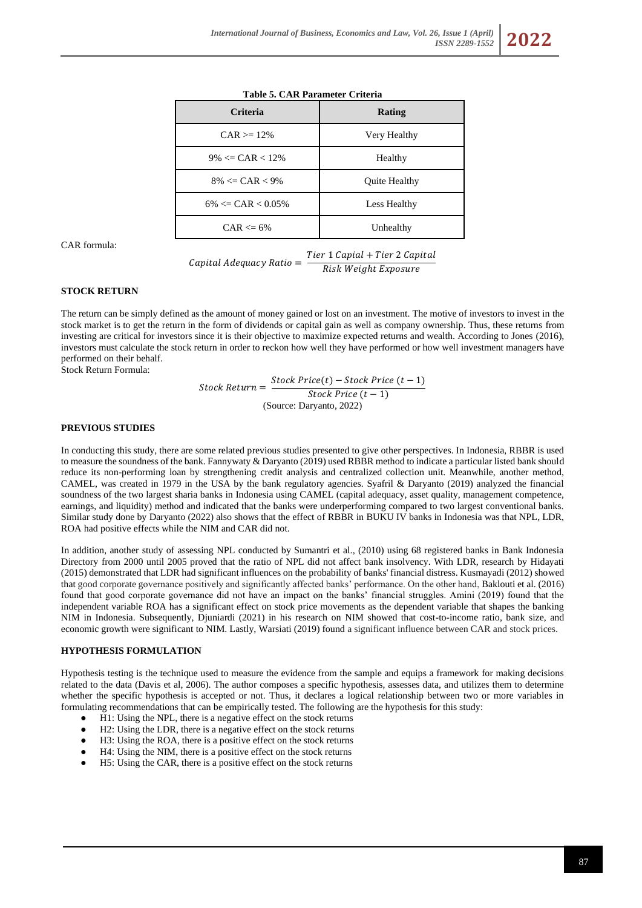| rasic et chin randidiente chilena |               |  |  |  |  |
|-----------------------------------|---------------|--|--|--|--|
| Criteria                          | <b>Rating</b> |  |  |  |  |
| $CAR = 12%$                       | Very Healthy  |  |  |  |  |
| $9\% \leq CAR < 12\%$             | Healthy       |  |  |  |  |
| $8\% \leq CAR < 9\%$              | Quite Healthy |  |  |  |  |
| $6\% \leq CAR < 0.05\%$           | Less Healthy  |  |  |  |  |
| $CAR \leq 6\%$                    | Unhealthy     |  |  |  |  |

## **Table 5. CAR Parameter Criteria**

CAR formula:

 $\emph{Capital Adequacy Ratio} = \frac{\emph{Tier 1 Capital + Tier 2 Capital}}{\emph{Dist-1445}}$ Risk Weight Exposure

# **STOCK RETURN**

The return can be simply defined as the amount of money gained or lost on an investment. The motive of investors to invest in the stock market is to get the return in the form of dividends or capital gain as well as company ownership. Thus, these returns from investing are critical for investors since it is their objective to maximize expected returns and wealth. According to Jones (2016), investors must calculate the stock return in order to reckon how well they have performed or how well investment managers have performed on their behalf.

Stock Return Formula:

$$
Stock Return = \frac{Stock Price(t) - Stock Price(t - 1)}{Stock Price(t - 1)}
$$
  
(Source: Darwin, 2022)

#### **PREVIOUS STUDIES**

In conducting this study, there are some related previous studies presented to give other perspectives. In Indonesia, RBBR is used to measure the soundness of the bank. Fannywaty & Daryanto (2019) used RBBR method to indicate a particular listed bank should reduce its non-performing loan by strengthening credit analysis and centralized collection unit. Meanwhile, another method, CAMEL, was created in 1979 in the USA by the bank regulatory agencies. Syafril & Daryanto (2019) analyzed the financial soundness of the two largest sharia banks in Indonesia using CAMEL (capital adequacy, asset quality, management competence, earnings, and liquidity) method and indicated that the banks were underperforming compared to two largest conventional banks. Similar study done by Daryanto (2022) also shows that the effect of RBBR in BUKU IV banks in Indonesia was that NPL, LDR, ROA had positive effects while the NIM and CAR did not.

In addition, another study of assessing NPL conducted by Sumantri et al., (2010) using 68 registered banks in Bank Indonesia Directory from 2000 until 2005 proved that the ratio of NPL did not affect bank insolvency. With LDR, research by Hidayati (2015) demonstrated that LDR had significant influences on the probability of banks' financial distress. Kusmayadi (2012) showed that good corporate governance positively and significantly affected banks' performance. On the other hand, Baklouti et al. (2016) found that good corporate governance did not have an impact on the banks' financial struggles. Amini (2019) found that the independent variable ROA has a significant effect on stock price movements as the dependent variable that shapes the banking NIM in Indonesia. Subsequently, Djuniardi (2021) in his research on NIM showed that cost-to-income ratio, bank size, and economic growth were significant to NIM. Lastly, Warsiati (2019) found a significant influence between CAR and stock prices.

#### **HYPOTHESIS FORMULATION**

Hypothesis testing is the technique used to measure the evidence from the sample and equips a framework for making decisions related to the data (Davis et al, 2006). The author composes a specific hypothesis, assesses data, and utilizes them to determine whether the specific hypothesis is accepted or not. Thus, it declares a logical relationship between two or more variables in formulating recommendations that can be empirically tested. The following are the hypothesis for this study:

- H1: Using the NPL, there is a negative effect on the stock returns
- H2: Using the LDR, there is a negative effect on the stock returns
- H3: Using the ROA, there is a positive effect on the stock returns
- H4: Using the NIM, there is a positive effect on the stock returns
- H5: Using the CAR, there is a positive effect on the stock returns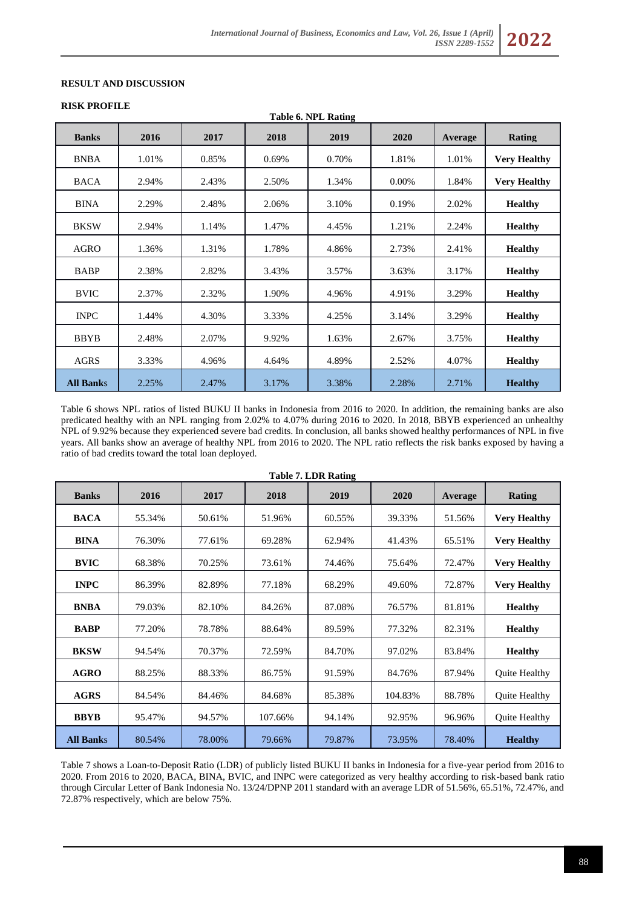# **RESULT AND DISCUSSION**

### **RISK PROFILE**

| Table 6. NPL Rating |       |       |       |       |       |         |                     |
|---------------------|-------|-------|-------|-------|-------|---------|---------------------|
| <b>Banks</b>        | 2016  | 2017  | 2018  | 2019  | 2020  | Average | <b>Rating</b>       |
| <b>BNBA</b>         | 1.01% | 0.85% | 0.69% | 0.70% | 1.81% | 1.01%   | <b>Very Healthy</b> |
| <b>BACA</b>         | 2.94% | 2.43% | 2.50% | 1.34% | 0.00% | 1.84%   | <b>Very Healthy</b> |
| <b>BINA</b>         | 2.29% | 2.48% | 2.06% | 3.10% | 0.19% | 2.02%   | <b>Healthy</b>      |
| <b>BKSW</b>         | 2.94% | 1.14% | 1.47% | 4.45% | 1.21% | 2.24%   | <b>Healthy</b>      |
| AGRO                | 1.36% | 1.31% | 1.78% | 4.86% | 2.73% | 2.41%   | <b>Healthy</b>      |
| <b>BABP</b>         | 2.38% | 2.82% | 3.43% | 3.57% | 3.63% | 3.17%   | <b>Healthy</b>      |
| <b>BVIC</b>         | 2.37% | 2.32% | 1.90% | 4.96% | 4.91% | 3.29%   | <b>Healthy</b>      |
| <b>INPC</b>         | 1.44% | 4.30% | 3.33% | 4.25% | 3.14% | 3.29%   | <b>Healthy</b>      |
| <b>BBYB</b>         | 2.48% | 2.07% | 9.92% | 1.63% | 2.67% | 3.75%   | <b>Healthy</b>      |
| AGRS                | 3.33% | 4.96% | 4.64% | 4.89% | 2.52% | 4.07%   | <b>Healthy</b>      |
| <b>All Banks</b>    | 2.25% | 2.47% | 3.17% | 3.38% | 2.28% | 2.71%   | <b>Healthy</b>      |

Table 6 shows NPL ratios of listed BUKU II banks in Indonesia from 2016 to 2020. In addition, the remaining banks are also predicated healthy with an NPL ranging from 2.02% to 4.07% during 2016 to 2020. In 2018, BBYB experienced an unhealthy NPL of 9.92% because they experienced severe bad credits. In conclusion, all banks showed healthy performances of NPL in five years. All banks show an average of healthy NPL from 2016 to 2020. The NPL ratio reflects the risk banks exposed by having a ratio of bad credits toward the total loan deployed.

| <b>Table 7. LDR Rating</b> |        |        |         |        |         |         |                      |
|----------------------------|--------|--------|---------|--------|---------|---------|----------------------|
| <b>Banks</b>               | 2016   | 2017   | 2018    | 2019   | 2020    | Average | Rating               |
| <b>BACA</b>                | 55.34% | 50.61% | 51.96%  | 60.55% | 39.33%  | 51.56%  | <b>Very Healthy</b>  |
| <b>BINA</b>                | 76.30% | 77.61% | 69.28%  | 62.94% | 41.43%  | 65.51%  | <b>Very Healthy</b>  |
| <b>BVIC</b>                | 68.38% | 70.25% | 73.61%  | 74.46% | 75.64%  | 72.47%  | <b>Very Healthy</b>  |
| <b>INPC</b>                | 86.39% | 82.89% | 77.18%  | 68.29% | 49.60%  | 72.87%  | <b>Very Healthy</b>  |
| <b>BNBA</b>                | 79.03% | 82.10% | 84.26%  | 87.08% | 76.57%  | 81.81%  | <b>Healthy</b>       |
| <b>BABP</b>                | 77.20% | 78.78% | 88.64%  | 89.59% | 77.32%  | 82.31%  | <b>Healthy</b>       |
| <b>BKSW</b>                | 94.54% | 70.37% | 72.59%  | 84.70% | 97.02%  | 83.84%  | <b>Healthy</b>       |
| <b>AGRO</b>                | 88.25% | 88.33% | 86.75%  | 91.59% | 84.76%  | 87.94%  | <b>Ouite Healthy</b> |
| <b>AGRS</b>                | 84.54% | 84.46% | 84.68%  | 85.38% | 104.83% | 88.78%  | <b>Ouite Healthy</b> |
| <b>BBYB</b>                | 95.47% | 94.57% | 107.66% | 94.14% | 92.95%  | 96.96%  | Quite Healthy        |
| <b>All Banks</b>           | 80.54% | 78.00% | 79.66%  | 79.87% | 73.95%  | 78.40%  | <b>Healthy</b>       |

Table 7 shows a Loan-to-Deposit Ratio (LDR) of publicly listed BUKU II banks in Indonesia for a five-year period from 2016 to 2020. From 2016 to 2020, BACA, BINA, BVIC, and INPC were categorized as very healthy according to risk-based bank ratio through Circular Letter of Bank Indonesia No. 13/24/DPNP 2011 standard with an average LDR of 51.56%, 65.51%, 72.47%, and 72.87% respectively, which are below 75%.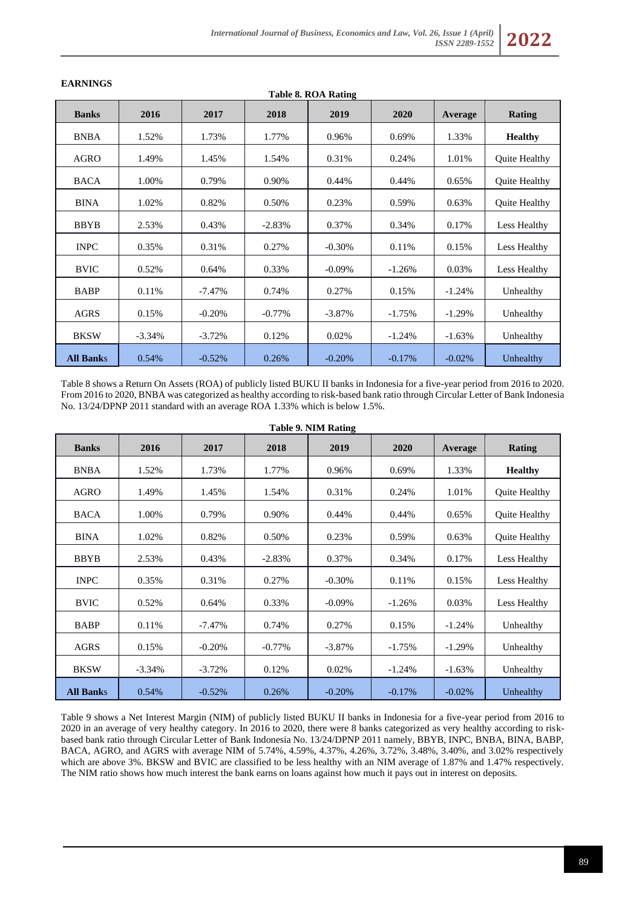| Table 8. ROA Rating |          |           |           |           |          |          |                |
|---------------------|----------|-----------|-----------|-----------|----------|----------|----------------|
| <b>Banks</b>        | 2016     | 2017      | 2018      | 2019      | 2020     | Average  | Rating         |
| <b>BNBA</b>         | 1.52%    | 1.73%     | 1.77%     | 0.96%     | 0.69%    | 1.33%    | <b>Healthy</b> |
| AGRO                | 1.49%    | 1.45%     | 1.54%     | 0.31%     | 0.24%    | 1.01%    | Quite Healthy  |
| <b>BACA</b>         | 1.00%    | 0.79%     | 0.90%     | 0.44%     | 0.44%    | 0.65%    | Quite Healthy  |
| <b>BINA</b>         | 1.02%    | 0.82%     | 0.50%     | 0.23%     | 0.59%    | 0.63%    | Quite Healthy  |
| <b>BBYB</b>         | 2.53%    | 0.43%     | $-2.83%$  | 0.37%     | 0.34%    | 0.17%    | Less Healthy   |
| <b>INPC</b>         | 0.35%    | 0.31%     | 0.27%     | $-0.30%$  | 0.11%    | 0.15%    | Less Healthy   |
| <b>BVIC</b>         | 0.52%    | 0.64%     | 0.33%     | $-0.09\%$ | $-1.26%$ | 0.03%    | Less Healthy   |
| <b>BABP</b>         | 0.11%    | $-7.47\%$ | 0.74%     | 0.27%     | 0.15%    | $-1.24%$ | Unhealthy      |
| <b>AGRS</b>         | 0.15%    | $-0.20%$  | $-0.77\%$ | $-3.87%$  | $-1.75%$ | $-1.29%$ | Unhealthy      |
| <b>BKSW</b>         | $-3.34%$ | $-3.72\%$ | 0.12%     | 0.02%     | $-1.24%$ | $-1.63%$ | Unhealthy      |
| <b>All Banks</b>    | 0.54%    | $-0.52%$  | 0.26%     | $-0.20%$  | $-0.17%$ | $-0.02%$ | Unhealthy      |

# **EARNINGS**

Table 8 shows a Return On Assets (ROA) of publicly listed BUKU II banks in Indonesia for a five-year period from 2016 to 2020. From 2016 to 2020, BNBA was categorized as healthy according to risk-based bank ratio through Circular Letter of Bank Indonesia No. 13/24/DPNP 2011 standard with an average ROA 1.33% which is below 1.5%.

| <b>Table 9. NIM Rating</b> |           |           |           |           |           |          |                      |
|----------------------------|-----------|-----------|-----------|-----------|-----------|----------|----------------------|
| <b>Banks</b>               | 2016      | 2017      | 2018      | 2019      | 2020      | Average  | Rating               |
| <b>BNBA</b>                | 1.52%     | 1.73%     | 1.77%     | 0.96%     | 0.69%     | 1.33%    | <b>Healthy</b>       |
| AGRO                       | 1.49%     | 1.45%     | 1.54%     | 0.31%     | 0.24%     | 1.01%    | Quite Healthy        |
| <b>BACA</b>                | 1.00%     | 0.79%     | 0.90%     | 0.44%     | 0.44%     | 0.65%    | Quite Healthy        |
| <b>BINA</b>                | 1.02%     | 0.82%     | 0.50%     | 0.23%     | 0.59%     | 0.63%    | <b>Ouite Healthy</b> |
| <b>BBYB</b>                | 2.53%     | 0.43%     | $-2.83%$  | 0.37%     | 0.34%     | 0.17%    | Less Healthy         |
| <b>INPC</b>                | 0.35%     | 0.31%     | 0.27%     | $-0.30\%$ | 0.11%     | 0.15%    | Less Healthy         |
| <b>BVIC</b>                | 0.52%     | 0.64%     | 0.33%     | $-0.09\%$ | $-1.26%$  | 0.03%    | Less Healthy         |
| <b>BABP</b>                | 0.11%     | $-7.47\%$ | 0.74%     | 0.27%     | 0.15%     | $-1.24%$ | Unhealthy            |
| <b>AGRS</b>                | 0.15%     | $-0.20%$  | $-0.77\%$ | $-3.87\%$ | $-1.75%$  | $-1.29%$ | Unhealthy            |
| <b>BKSW</b>                | $-3.34\%$ | $-3.72%$  | 0.12%     | 0.02%     | $-1.24%$  | $-1.63%$ | Unhealthy            |
| <b>All Banks</b>           | 0.54%     | $-0.52%$  | 0.26%     | $-0.20%$  | $-0.17\%$ | $-0.02%$ | Unhealthy            |

Table 9 shows a Net Interest Margin (NIM) of publicly listed BUKU II banks in Indonesia for a five-year period from 2016 to 2020 in an average of very healthy category. In 2016 to 2020, there were 8 banks categorized as very healthy according to riskbased bank ratio through Circular Letter of Bank Indonesia No. 13/24/DPNP 2011 namely, BBYB, INPC, BNBA, BINA, BABP, BACA, AGRO, and AGRS with average NIM of 5.74%, 4.59%, 4.37%, 4.26%, 3.72%, 3.48%, 3.40%, and 3.02% respectively which are above 3%. BKSW and BVIC are classified to be less healthy with an NIM average of 1.87% and 1.47% respectively. The NIM ratio shows how much interest the bank earns on loans against how much it pays out in interest on deposits.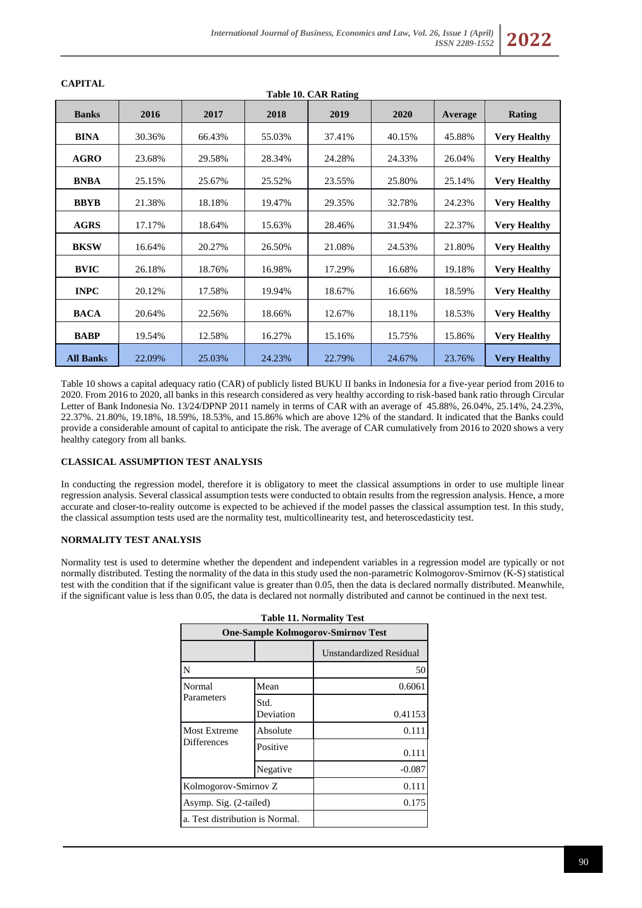|                  | Table 10. CAR Rating |        |        |        |        |         |                     |
|------------------|----------------------|--------|--------|--------|--------|---------|---------------------|
| <b>Banks</b>     | 2016                 | 2017   | 2018   | 2019   | 2020   | Average | Rating              |
| <b>BINA</b>      | 30.36%               | 66.43% | 55.03% | 37.41% | 40.15% | 45.88%  | <b>Very Healthy</b> |
| <b>AGRO</b>      | 23.68%               | 29.58% | 28.34% | 24.28% | 24.33% | 26.04%  | <b>Very Healthy</b> |
| <b>BNBA</b>      | 25.15%               | 25.67% | 25.52% | 23.55% | 25.80% | 25.14%  | <b>Very Healthy</b> |
| <b>BBYB</b>      | 21.38%               | 18.18% | 19.47% | 29.35% | 32.78% | 24.23%  | <b>Very Healthy</b> |
| <b>AGRS</b>      | 17.17%               | 18.64% | 15.63% | 28.46% | 31.94% | 22.37%  | <b>Very Healthy</b> |
| <b>BKSW</b>      | 16.64%               | 20.27% | 26.50% | 21.08% | 24.53% | 21.80%  | <b>Very Healthy</b> |
| <b>BVIC</b>      | 26.18%               | 18.76% | 16.98% | 17.29% | 16.68% | 19.18%  | <b>Very Healthy</b> |
| <b>INPC</b>      | 20.12%               | 17.58% | 19.94% | 18.67% | 16.66% | 18.59%  | <b>Very Healthy</b> |
| <b>BACA</b>      | 20.64%               | 22.56% | 18.66% | 12.67% | 18.11% | 18.53%  | <b>Very Healthy</b> |
| <b>BABP</b>      | 19.54%               | 12.58% | 16.27% | 15.16% | 15.75% | 15.86%  | <b>Very Healthy</b> |
| <b>All Banks</b> | 22.09%               | 25.03% | 24.23% | 22.79% | 24.67% | 23.76%  | <b>Very Healthy</b> |

**CAPITAL**

Table 10 shows a capital adequacy ratio (CAR) of publicly listed BUKU II banks in Indonesia for a five-year period from 2016 to 2020. From 2016 to 2020, all banks in this research considered as very healthy according to risk-based bank ratio through Circular Letter of Bank Indonesia No. 13/24/DPNP 2011 namely in terms of CAR with an average of 45.88%, 26.04%, 25.14%, 24.23%, 22.37%. 21.80%, 19.18%, 18.59%, 18.53%, and 15.86% which are above 12% of the standard. It indicated that the Banks could provide a considerable amount of capital to anticipate the risk. The average of CAR cumulatively from 2016 to 2020 shows a very healthy category from all banks.

### **CLASSICAL ASSUMPTION TEST ANALYSIS**

In conducting the regression model, therefore it is obligatory to meet the classical assumptions in order to use multiple linear regression analysis. Several classical assumption tests were conducted to obtain results from the regression analysis. Hence, a more accurate and closer-to-reality outcome is expected to be achieved if the model passes the classical assumption test. In this study, the classical assumption tests used are the normality test, multicollinearity test, and heteroscedasticity test.

# **NORMALITY TEST ANALYSIS**

Normality test is used to determine whether the dependent and independent variables in a regression model are typically or not normally distributed. Testing the normality of the data in this study used the non-parametric Kolmogorov-Smirnov (K-S) statistical test with the condition that if the significant value is greater than 0.05, then the data is declared normally distributed. Meanwhile, if the significant value is less than 0.05, the data is declared not normally distributed and cannot be continued in the next test.

| <b>Table 11. Normality Test</b>           |                   |                         |  |  |  |  |
|-------------------------------------------|-------------------|-------------------------|--|--|--|--|
| <b>One-Sample Kolmogorov-Smirnov Test</b> |                   |                         |  |  |  |  |
|                                           |                   | Unstandardized Residual |  |  |  |  |
| N                                         |                   | 50                      |  |  |  |  |
| Normal                                    | Mean              | 0.6061                  |  |  |  |  |
| Parameters                                | Std.<br>Deviation | 0.41153                 |  |  |  |  |
| <b>Most Extreme</b>                       | Absolute          | 0.111                   |  |  |  |  |
| <b>Differences</b>                        | Positive          | 0.111                   |  |  |  |  |
|                                           | Negative          | $-0.087$                |  |  |  |  |
| Kolmogorov-Smirnov Z                      |                   | 0.111                   |  |  |  |  |
| Asymp. Sig. (2-tailed)                    |                   | 0.175                   |  |  |  |  |
| a. Test distribution is Normal.           |                   |                         |  |  |  |  |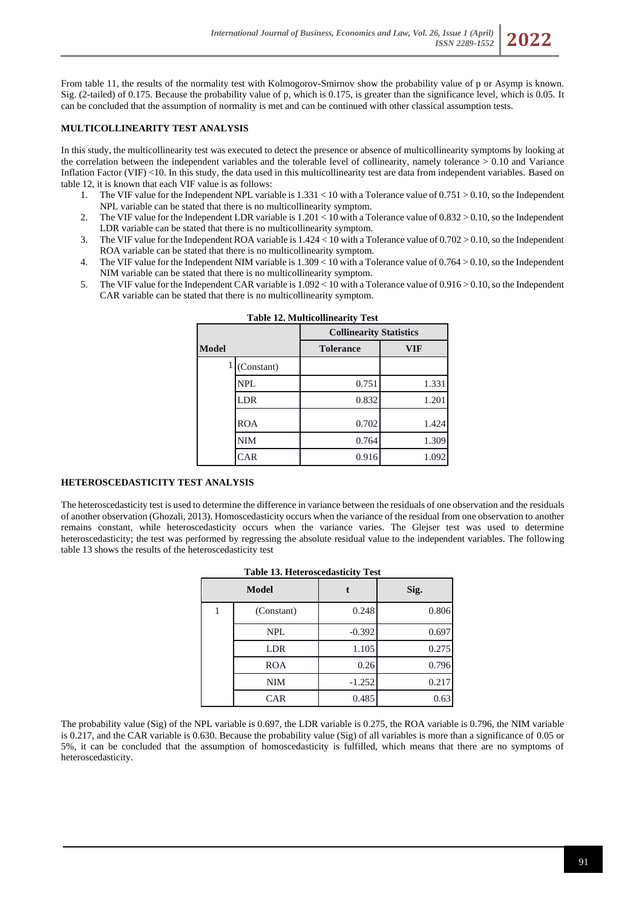From table 11, the results of the normality test with Kolmogorov-Smirnov show the probability value of p or Asymp is known. Sig. (2-tailed) of 0.175. Because the probability value of p, which is 0.175, is greater than the significance level, which is 0.05. It can be concluded that the assumption of normality is met and can be continued with other classical assumption tests.

## **MULTICOLLINEARITY TEST ANALYSIS**

In this study, the multicollinearity test was executed to detect the presence or absence of multicollinearity symptoms by looking at the correlation between the independent variables and the tolerable level of collinearity, namely tolerance > 0.10 and Variance Inflation Factor (VIF) <10. In this study, the data used in this multicollinearity test are data from independent variables. Based on table 12, it is known that each VIF value is as follows:

- 1. The VIF value for the Independent NPL variable is 1.331 < 10 with a Tolerance value of 0.751 > 0.10, so the Independent NPL variable can be stated that there is no multicollinearity symptom.
- 2. The VIF value for the Independent LDR variable is 1.201 < 10 with a Tolerance value of 0.832 > 0.10, so the Independent LDR variable can be stated that there is no multicollinearity symptom.
- 3. The VIF value for the Independent ROA variable is 1.424 < 10 with a Tolerance value of 0.702 > 0.10, so the Independent ROA variable can be stated that there is no multicollinearity symptom.
- 4. The VIF value for the Independent NIM variable is 1.309 < 10 with a Tolerance value of 0.764 > 0.10, so the Independent NIM variable can be stated that there is no multicollinearity symptom.
- 5. The VIF value for the Independent CAR variable is 1.092 < 10 with a Tolerance value of 0.916 > 0.10, so the Independent CAR variable can be stated that there is no multicollinearity symptom.

|              | radic 12. Brahmconnicarity rest |                                |            |  |  |  |  |
|--------------|---------------------------------|--------------------------------|------------|--|--|--|--|
|              |                                 | <b>Collinearity Statistics</b> |            |  |  |  |  |
| <b>Model</b> |                                 | <b>Tolerance</b>               | <b>VIF</b> |  |  |  |  |
|              | (Constant)                      |                                |            |  |  |  |  |
|              | <b>NPL</b>                      | 0.751                          | 1.331      |  |  |  |  |
|              | <b>LDR</b>                      | 0.832                          | 1.201      |  |  |  |  |
|              | <b>ROA</b>                      | 0.702                          | 1.424      |  |  |  |  |
|              | <b>NIM</b>                      | 0.764                          | 1.309      |  |  |  |  |
|              | CAR                             | 0.916                          | 1.092      |  |  |  |  |

| <b>Table 12. Multicollinearity Test</b> |  |
|-----------------------------------------|--|
|-----------------------------------------|--|

## **HETEROSCEDASTICITY TEST ANALYSIS**

The heteroscedasticity test is used to determine the difference in variance between the residuals of one observation and the residuals of another observation (Ghozali, 2013). Homoscedasticity occurs when the variance of the residual from one observation to another remains constant, while heteroscedasticity occurs when the variance varies. The Glejser test was used to determine heteroscedasticity; the test was performed by regressing the absolute residual value to the independent variables. The following table 13 shows the results of the heteroscedasticity test

| <b>Table 13. Heteroscedasticity Test</b> |              |          |       |  |
|------------------------------------------|--------------|----------|-------|--|
|                                          | <b>Model</b> |          | Sig.  |  |
|                                          | (Constant)   | 0.248    | 0.806 |  |
|                                          | <b>NPL</b>   | $-0.392$ | 0.697 |  |
|                                          | <b>LDR</b>   | 1.105    | 0.275 |  |
|                                          | <b>ROA</b>   | 0.26     | 0.796 |  |
|                                          | <b>NIM</b>   | $-1.252$ | 0.217 |  |
|                                          | <b>CAR</b>   | 0.485    | 0.63  |  |

The probability value (Sig) of the NPL variable is 0.697, the LDR variable is 0.275, the ROA variable is 0.796, the NIM variable is 0.217, and the CAR variable is 0.630. Because the probability value (Sig) of all variables is more than a significance of 0.05 or 5%, it can be concluded that the assumption of homoscedasticity is fulfilled, which means that there are no symptoms of heteroscedasticity.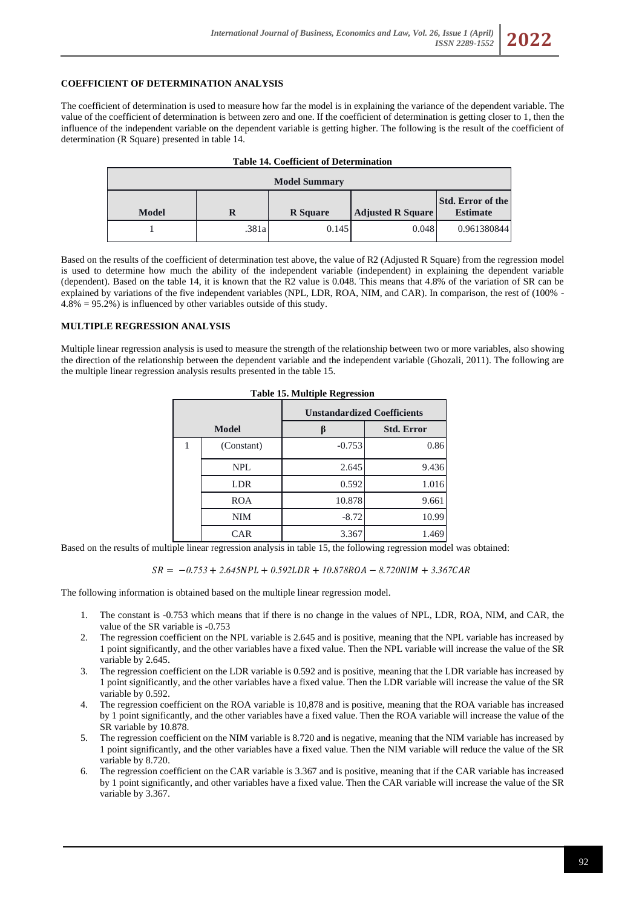## **COEFFICIENT OF DETERMINATION ANALYSIS**

The coefficient of determination is used to measure how far the model is in explaining the variance of the dependent variable. The value of the coefficient of determination is between zero and one. If the coefficient of determination is getting closer to 1, then the influence of the independent variable on the dependent variable is getting higher. The following is the result of the coefficient of determination (R Square) presented in table 14.

| <b>Table 14. Coefficient of Determination</b> |       |                 |                          |                                             |
|-----------------------------------------------|-------|-----------------|--------------------------|---------------------------------------------|
| <b>Model Summary</b>                          |       |                 |                          |                                             |
| <b>Model</b>                                  | R     | <b>R</b> Square | <b>Adjusted R Square</b> | <b>Std. Error of the</b><br><b>Estimate</b> |
|                                               | .381a | 0.145           | 0.048                    | 0.961380844                                 |

Based on the results of the coefficient of determination test above, the value of R2 (Adjusted R Square) from the regression model is used to determine how much the ability of the independent variable (independent) in explaining the dependent variable (dependent). Based on the table 14, it is known that the R2 value is 0.048. This means that 4.8% of the variation of SR can be explained by variations of the five independent variables (NPL, LDR, ROA, NIM, and CAR). In comparison, the rest of (100% - 4.8% = 95.2%) is influenced by other variables outside of this study.

#### **MULTIPLE REGRESSION ANALYSIS**

Multiple linear regression analysis is used to measure the strength of the relationship between two or more variables, also showing the direction of the relationship between the dependent variable and the independent variable (Ghozali, 2011). The following are the multiple linear regression analysis results presented in the table 15.

|              |            | <b>Unstandardized Coefficients</b> |                   |  |
|--------------|------------|------------------------------------|-------------------|--|
| <b>Model</b> |            |                                    | <b>Std. Error</b> |  |
|              | (Constant) | $-0.753$                           | 0.86              |  |
|              | <b>NPL</b> | 2.645                              | 9.436             |  |
|              | <b>LDR</b> | 0.592                              | 1.016             |  |
|              | <b>ROA</b> | 10.878                             | 9.661             |  |
|              | <b>NIM</b> | $-8.72$                            | 10.99             |  |
|              | <b>CAR</b> | 3.367                              | 1.469             |  |

**Table 15. Multiple Regression**

Based on the results of multiple linear regression analysis in table 15, the following regression model was obtained:

$$
SR = -0.753 + 2.645NPL + 0.592LDR + 10.878ROA - 8.720NIM + 3.367CAR
$$

The following information is obtained based on the multiple linear regression model.

- 1. The constant is -0.753 which means that if there is no change in the values of NPL, LDR, ROA, NIM, and CAR, the value of the SR variable is -0.753
- 2. The regression coefficient on the NPL variable is 2.645 and is positive, meaning that the NPL variable has increased by 1 point significantly, and the other variables have a fixed value. Then the NPL variable will increase the value of the SR variable by 2.645.
- 3. The regression coefficient on the LDR variable is 0.592 and is positive, meaning that the LDR variable has increased by 1 point significantly, and the other variables have a fixed value. Then the LDR variable will increase the value of the SR variable by 0.592.
- 4. The regression coefficient on the ROA variable is 10,878 and is positive, meaning that the ROA variable has increased by 1 point significantly, and the other variables have a fixed value. Then the ROA variable will increase the value of the SR variable by 10.878.
- 5. The regression coefficient on the NIM variable is 8.720 and is negative, meaning that the NIM variable has increased by 1 point significantly, and the other variables have a fixed value. Then the NIM variable will reduce the value of the SR variable by 8.720.
- 6. The regression coefficient on the CAR variable is 3.367 and is positive, meaning that if the CAR variable has increased by 1 point significantly, and other variables have a fixed value. Then the CAR variable will increase the value of the SR variable by 3.367.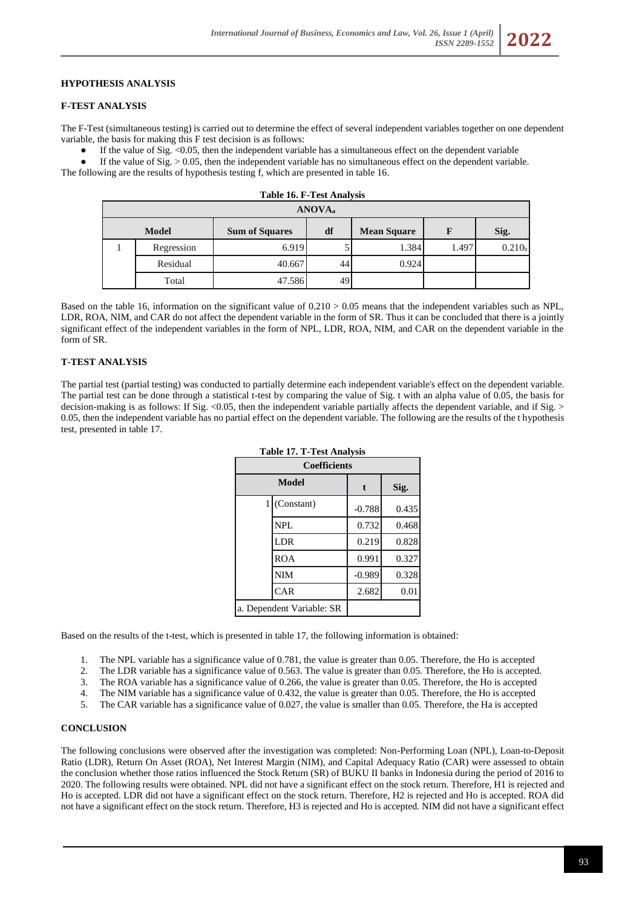# **HYPOTHESIS ANALYSIS**

#### **F-TEST ANALYSIS**

The F-Test (simultaneous testing) is carried out to determine the effect of several independent variables together on one dependent variable, the basis for making this F test decision is as follows:

**Table 16. F-Test Analysis**

If the value of Sig.  $\leq 0.05$ , then the independent variable has a simultaneous effect on the dependent variable

If the value of  $Sig. > 0.05$ , then the independent variable has no simultaneous effect on the dependent variable. The following are the results of hypothesis testing f, which are presented in table 16.

| Table To. F - Test Allarysis |            |                       |    |                    |       |                    |
|------------------------------|------------|-----------------------|----|--------------------|-------|--------------------|
| ANOVA <sub>a</sub>           |            |                       |    |                    |       |                    |
| <b>Model</b>                 |            | <b>Sum of Squares</b> | df | <b>Mean Square</b> | F     | Sig.               |
|                              | Regression | 6.919                 |    | 1.384              | 1.497 | 0.210 <sub>b</sub> |
|                              | Residual   | 40.667                | 44 | 0.924              |       |                    |
|                              | Total      | 47.586                | 49 |                    |       |                    |

Based on the table 16, information on the significant value of 0.210 > 0.05 means that the independent variables such as NPL, LDR, ROA, NIM, and CAR do not affect the dependent variable in the form of SR. Thus it can be concluded that there is a jointly significant effect of the independent variables in the form of NPL, LDR, ROA, NIM, and CAR on the dependent variable in the form of SR.

# **T-TEST ANALYSIS**

The partial test (partial testing) was conducted to partially determine each independent variable's effect on the dependent variable. The partial test can be done through a statistical t-test by comparing the value of Sig. t with an alpha value of 0.05, the basis for decision-making is as follows: If Sig. <0.05, then the independent variable partially affects the dependent variable, and if Sig. > 0.05, then the independent variable has no partial effect on the dependent variable. The following are the results of the t hypothesis test, presented in table 17.

| <b>Coefficients</b>       |                |          |       |
|---------------------------|----------------|----------|-------|
|                           | Model          | t        | Sig.  |
|                           | $1$ (Constant) | $-0.788$ | 0.435 |
|                           | NPL            | 0.732    | 0.468 |
|                           | LDR            | 0.219    | 0.828 |
|                           | <b>ROA</b>     | 0.991    | 0.327 |
|                           | <b>NIM</b>     | $-0.989$ | 0.328 |
|                           | CAR            | 2.682    | 0.01  |
| a. Dependent Variable: SR |                |          |       |

**Table 17. T-Test Analysis**

Based on the results of the t-test, which is presented in table 17, the following information is obtained:

- 1. The NPL variable has a significance value of 0.781, the value is greater than 0.05. Therefore, the Ho is accepted
- 2. The LDR variable has a significance value of 0.563. The value is greater than 0.05. Therefore, the Ho is accepted.
- 3. The ROA variable has a significance value of 0.266, the value is greater than 0.05. Therefore, the Ho is accepted
- 4. The NIM variable has a significance value of 0.432, the value is greater than 0.05. Therefore, the Ho is accepted
- 5. The CAR variable has a significance value of 0.027, the value is smaller than 0.05. Therefore, the Ha is accepted

#### **CONCLUSION**

The following conclusions were observed after the investigation was completed: Non-Performing Loan (NPL), Loan-to-Deposit Ratio (LDR), Return On Asset (ROA), Net Interest Margin (NIM), and Capital Adequacy Ratio (CAR) were assessed to obtain the conclusion whether those ratios influenced the Stock Return (SR) of BUKU II banks in Indonesia during the period of 2016 to 2020. The following results were obtained. NPL did not have a significant effect on the stock return. Therefore, H1 is rejected and Ho is accepted. LDR did not have a significant effect on the stock return. Therefore, H2 is rejected and Ho is accepted. ROA did not have a significant effect on the stock return. Therefore, H3 is rejected and Ho is accepted. NIM did not have a significant effect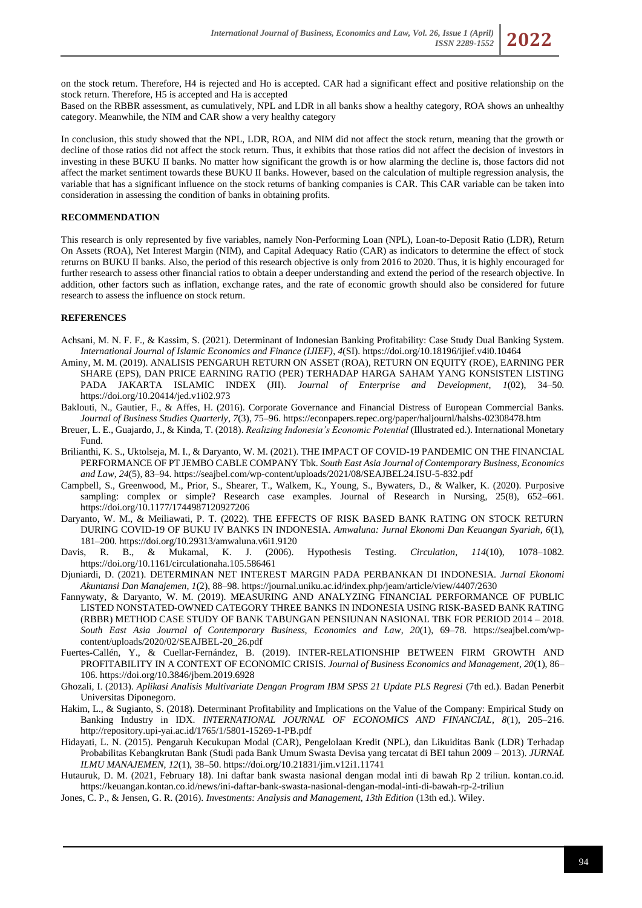on the stock return. Therefore, H4 is rejected and Ho is accepted. CAR had a significant effect and positive relationship on the stock return. Therefore, H5 is accepted and Ha is accepted

Based on the RBBR assessment, as cumulatively, NPL and LDR in all banks show a healthy category, ROA shows an unhealthy category. Meanwhile, the NIM and CAR show a very healthy category

In conclusion, this study showed that the NPL, LDR, ROA, and NIM did not affect the stock return, meaning that the growth or decline of those ratios did not affect the stock return. Thus, it exhibits that those ratios did not affect the decision of investors in investing in these BUKU II banks. No matter how significant the growth is or how alarming the decline is, those factors did not affect the market sentiment towards these BUKU II banks. However, based on the calculation of multiple regression analysis, the variable that has a significant influence on the stock returns of banking companies is CAR. This CAR variable can be taken into consideration in assessing the condition of banks in obtaining profits.

## **RECOMMENDATION**

This research is only represented by five variables, namely Non-Performing Loan (NPL), Loan-to-Deposit Ratio (LDR), Return On Assets (ROA), Net Interest Margin (NIM), and Capital Adequacy Ratio (CAR) as indicators to determine the effect of stock returns on BUKU II banks. Also, the period of this research objective is only from 2016 to 2020. Thus, it is highly encouraged for further research to assess other financial ratios to obtain a deeper understanding and extend the period of the research objective. In addition, other factors such as inflation, exchange rates, and the rate of economic growth should also be considered for future research to assess the influence on stock return.

## **REFERENCES**

- Achsani, M. N. F. F., & Kassim, S. (2021). Determinant of Indonesian Banking Profitability: Case Study Dual Banking System. *International Journal of Islamic Economics and Finance (IJIEF)*, *4*(SI). https://doi.org/10.18196/ijief.v4i0.10464
- Aminy, M. M. (2019). ANALISIS PENGARUH RETURN ON ASSET (ROA), RETURN ON EQUITY (ROE), EARNING PER SHARE (EPS), DAN PRICE EARNING RATIO (PER) TERHADAP HARGA SAHAM YANG KONSISTEN LISTING PADA JAKARTA ISLAMIC INDEX (JII). *Journal of Enterprise and Development*, *1*(02), 34–50. https://doi.org/10.20414/jed.v1i02.973
- Baklouti, N., Gautier, F., & Affes, H. (2016). Corporate Governance and Financial Distress of European Commercial Banks. *Journal of Business Studies Quarterly*, *7*(3), 75–96. https://econpapers.repec.org/paper/haljournl/halshs-02308478.htm
- Breuer, L. E., Guajardo, J., & Kinda, T. (2018). *Realizing Indonesia's Economic Potential* (Illustrated ed.). International Monetary Fund.
- Brilianthi, K. S., Uktolseja, M. I., & Daryanto, W. M. (2021). THE IMPACT OF COVID-19 PANDEMIC ON THE FINANCIAL PERFORMANCE OF PT JEMBO CABLE COMPANY Tbk. *South East Asia Journal of Contemporary Business, Economics and Law*, *24*(5), 83–94. https://seajbel.com/wp-content/uploads/2021/08/SEAJBEL24.ISU-5-832.pdf
- Campbell, S., Greenwood, M., Prior, S., Shearer, T., Walkem, K., Young, S., Bywaters, D., & Walker, K. (2020). Purposive sampling: complex or simple? Research case examples. Journal of Research in Nursing, 25(8), 652-661. https://doi.org/10.1177/1744987120927206
- Daryanto, W. M., & Meiliawati, P. T. (2022). THE EFFECTS OF RISK BASED BANK RATING ON STOCK RETURN DURING COVID-19 OF BUKU IV BANKS IN INDONESIA. *Amwaluna: Jurnal Ekonomi Dan Keuangan Syariah*, *6*(1), 181–200. https://doi.org/10.29313/amwaluna.v6i1.9120
- Davis, R. B., & Mukamal, K. J. (2006). Hypothesis Testing. *Circulation*, *114*(10), 1078–1082. https://doi.org/10.1161/circulationaha.105.586461
- Djuniardi, D. (2021). DETERMINAN NET INTEREST MARGIN PADA PERBANKAN DI INDONESIA. *Jurnal Ekonomi Akuntansi Dan Manajemen*, *1*(2), 88–98. https://journal.uniku.ac.id/index.php/jeam/article/view/4407/2630
- Fannywaty, & Daryanto, W. M. (2019). MEASURING AND ANALYZING FINANCIAL PERFORMANCE OF PUBLIC LISTED NONSTATED-OWNED CATEGORY THREE BANKS IN INDONESIA USING RISK-BASED BANK RATING (RBBR) METHOD CASE STUDY OF BANK TABUNGAN PENSIUNAN NASIONAL TBK FOR PERIOD 2014 – 2018. *South East Asia Journal of Contemporary Business, Economics and Law*, *20*(1), 69–78. https://seajbel.com/wpcontent/uploads/2020/02/SEAJBEL-20\_26.pdf
- Fuertes-Callén, Y., & Cuellar-Fernández, B. (2019). INTER-RELATIONSHIP BETWEEN FIRM GROWTH AND PROFITABILITY IN A CONTEXT OF ECONOMIC CRISIS. *Journal of Business Economics and Management*, *20*(1), 86– 106. https://doi.org/10.3846/jbem.2019.6928
- Ghozali, I. (2013). *Aplikasi Analisis Multivariate Dengan Program IBM SPSS 21 Update PLS Regresi* (7th ed.). Badan Penerbit Universitas Diponegoro.
- Hakim, L., & Sugianto, S. (2018). Determinant Profitability and Implications on the Value of the Company: Empirical Study on Banking Industry in IDX. *INTERNATIONAL JOURNAL OF ECONOMICS AND FINANCIAL*, *8*(1), 205–216. http://repository.upi-yai.ac.id/1765/1/5801-15269-1-PB.pdf
- Hidayati, L. N. (2015). Pengaruh Kecukupan Modal (CAR), Pengelolaan Kredit (NPL), dan Likuiditas Bank (LDR) Terhadap Probabilitas Kebangkrutan Bank (Studi pada Bank Umum Swasta Devisa yang tercatat di BEI tahun 2009 – 2013). *JURNAL ILMU MANAJEMEN*, *12*(1), 38–50. https://doi.org/10.21831/jim.v12i1.11741
- Hutauruk, D. M. (2021, February 18). Ini daftar bank swasta nasional dengan modal inti di bawah Rp 2 triliun. kontan.co.id. https://keuangan.kontan.co.id/news/ini-daftar-bank-swasta-nasional-dengan-modal-inti-di-bawah-rp-2-triliun
- Jones, C. P., & Jensen, G. R. (2016). *Investments: Analysis and Management, 13th Edition* (13th ed.). Wiley.